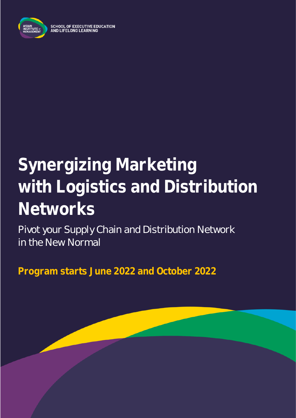

## **Synergizing Marketing with Logistics and Distribution Networks**

Pivot your Supply Chain and Distribution Network in the New Normal

**Program starts June 2022 and October 2022**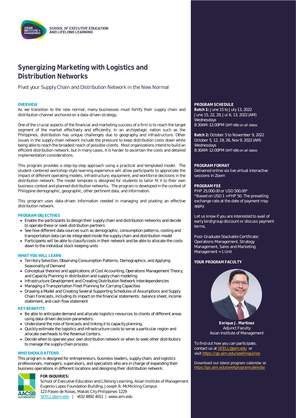

### **Synergizing Marketing with Logistics and Distribution Networks**

Pivot your Supply Chain and Distribution Network in the New Normal

As we transition to the new normal, many businesses must fortify their supply chain and distribution channel anchored on a data-driven strategy.

One of the crucial aspects of the financial and marketing success of a firm is to reach the target segment of the market effectively and efficiently. In an archipelagic nation such as the Philippines, distribution has unique challenges due to geography and infrastructure. Other issues in the supply chain network include the pressure to keep distribution costs down while being able to reach the broadest reach of possible clients. Most organizations intend to build an efficient distribution network, but in many cases, it is harder to ascertain the costs and detailed implementation considerations.

This program provides a step-by-step approach using a practical and templated model. The student-centered workshop-style learning experience will allow participants to appreciate the impact of different operating models, infrastructure, equipment, and workforce decisions in the distribution network. The model template is designed for students to tailor fit it to their own business context and planned distribution networks. The program is developed in the context of Philippine demographic, geographic, other pertinent data, and information.

This program uses data-driven information needed in managing and pivoting an effective distribution network.

#### **PROGRAM OBJECTIVES**

- Enable the participants to design their supply chain and distribution networks and decide to operate these or seek distribution partners
- See how different data sources such as demographic, consumption patterns, costing and transportation data can be integrated inside the supply chain and distribution model
- Participants will be able to classify costs in their network and be able to allocate the costs down to the individual stock keeping units

#### **WHAT YOU WILL LEARN**

- Territory Selection, Observing Consumption Patterns, Demographics, and Applying Seasonality of Demand
- Conceptual theories and applications of Cost Accounting, Operations Management Theory, and Capacity Planning in distribution and supply chain modeling
- Infrastructure Development and Creating Distribution Network Interdependencies
- Managing a Transportation Fleet Planning for Carrying Capacities
- Drawing a Model and Creating Several Supporting Schedules of Assumptions and Supply Chain Forecasts, including its impact on the financial statements: balance sheet, income statement, and cash flow statement

#### **KEY BENEFITS**

- Be able to anticipate demand and allocate logistics resources to clients of different areas using data-driven decision parameters.
- Understand the role of forecasts and linking it to capacity planning.
- Quickly estimate the logistics and infrastructure costs to serve a particular region and allocate overheads to the Revenue Centers.
- Decide when to operate your own distribution network or when to seek other distributors to manage the supply chain process.

#### **WHO SHOULD ATTEND**

This program is designed for entrepreneurs, business leaders, supply chain, and logistics professionals, managers, supervisors, and specialists who are in charge of expanding their business operations in different locations and designing their distribution network.

# **AACSR**

#### **FOR INQUIRIES:**

School of Executive Education and Lifelong Learning, Asian Institute of Management Eugenio Lopez Foundation Building, Joseph R. McMicking Campus 123 Paseo de Roxas, Makati City Philippines 1229 [SEELL@aim.edu](mailto:SEELL@aim.edu) | +632 8892 4011 | www.aim.edu

#### **OVERVIEW PROGRAM SCHEDULE**

**Batch 1:** June 15 to July 13, 2022 June 15, 22, 29, Jul 6, 13, 2022 (AM) Wednesdays 8:30AM-12:00PM GMT+08) on all dates

**Batch 2:** October 5 to November 9, 2022 October 5, 12, 19, 26, Nov 9, 2022 (AM) Wednesdays 8:30AM-12:00PM GMT+08) on all dates

#### **PROGRAM FORMAT**

Delivered online via live virtual interactive sessions in Zoom

#### **PROGRAM FEE**

PHP 25,000.00 or USD 500.00\* \*Based on USD 1 = PHP 50. The prevailing exchange rate at the date of payment may apply.

Let us know if you are interested to avail of early bird/group discount or discuss payment terms.

Post-Graduate Stackable Certificate: Operations Management, Strategy Management, Sales and Marketing Management = 1 Unit

#### **YOUR PROGRAM FACULTY**



**Enrique J. Martinez** Adjunct Faculty Asian Institute of Management

To find out how you can participate, contact us at **SEELL@aim.edu** or visi[t https://go.aim.edu/seellinquiries](https://go.aim.edu/seellinquiries)

Download our latest program calendar at <https://go.aim.edu/seellprogramcalendar>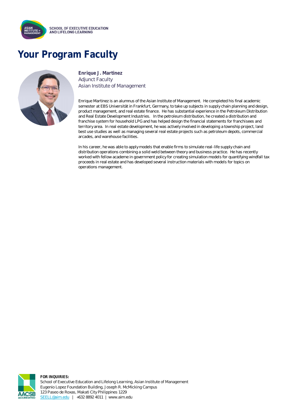

## **Your Program Faculty**



**Enrique J. Martinez** Adjunct Faculty Asian Institute of Management

Enrique Martinez is an alumnus of the Asian Institute of Management. He completed his final academic semester at EBS Universität in Frankfurt, Germany, to take up subjects in supply chain planning and design, product management, and real estate finance. He has substantial experience in the Petroleum Distribution and Real Estate Development Industries. In the petroleum distribution, he created a distribution and franchise system for household LPG and has helped design the financial statements for franchisees and territory area. In real estate development, he was actively involved in developing a township project, land best use studies as well as managing several real estate projects such as petroleum depots, commercial arcades, and warehouse facilities.

In his career, he was able to apply models that enable firms to simulate real-life supply chain and distribution operations combining a solid weld between theory and business practice. He has recently worked with fellow academe in government policy for creating simulation models for quantifying windfall tax proceeds in real estate and has developed several instruction materials with models for topics on operations management.



**FOR INQUIRIES:** School of Executive Education and Lifelong Learning, Asian Institute of Management Eugenio Lopez Foundation Building, Joseph R. McMicking Campus 123 Paseo de Roxas, Makati City Philippines 1229 [SEELL@aim.edu](mailto:SEELL@aim.edu) | +632 8892 4011 | www.aim.edu